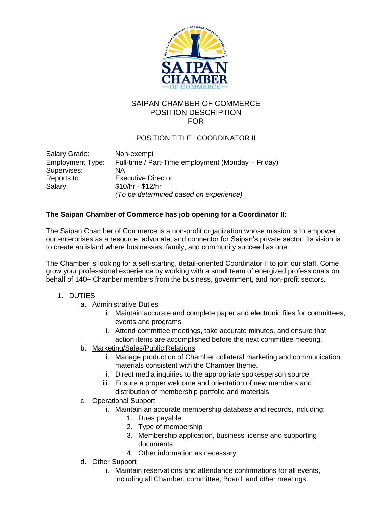

## SAIPAN CHAMBER OF COMMERCE POSITION DESCRIPTION FOR

## POSITION TITLE: COORDINATOR II

| Salary Grade:           | Non-exempt                                         |
|-------------------------|----------------------------------------------------|
| <b>Employment Type:</b> | Full-time / Part-Time employment (Monday – Friday) |
| Supervises:             | ΝA                                                 |
| Reports to:             | <b>Executive Director</b>                          |
| Salary:                 | $$10/hr - $12/hr$                                  |
|                         | (To be determined based on experience)             |

## **The Saipan Chamber of Commerce has job opening for a Coordinator II:**

The Saipan Chamber of Commerce is a non-profit organization whose mission is to empower our enterprises as a resource, advocate, and connector for Saipan's private sector. Its vision is to create an island where businesses, family, and community succeed as one.

The Chamber is looking for a self-starting, detail-oriented Coordinator II to join our staff. Come grow your professional experience by working with a small team of energized professionals on behalf of 140+ Chamber members from the business, government, and non-profit sectors.

## 1. DUTIES

- a. Administrative Duties
	- i. Maintain accurate and complete paper and electronic files for committees, events and programs
	- ii. Attend committee meetings, take accurate minutes, and ensure that action items are accomplished before the next committee meeting.
- b. Marketing/Sales/Public Relations
	- i. Manage production of Chamber collateral marketing and communication materials consistent with the Chamber theme.
	- ii. Direct media inquiries to the appropriate spokesperson source.
	- iii. Ensure a proper welcome and orientation of new members and distribution of membership portfolio and materials.
- c. Operational Support
	- i. Maintain an accurate membership database and records, including:
		- 1. Dues payable
		- 2. Type of membership
		- 3. Membership application, business license and supporting documents
		- 4. Other information as necessary
- d. Other Support
	- i. Maintain reservations and attendance confirmations for all events, including all Chamber, committee, Board, and other meetings.